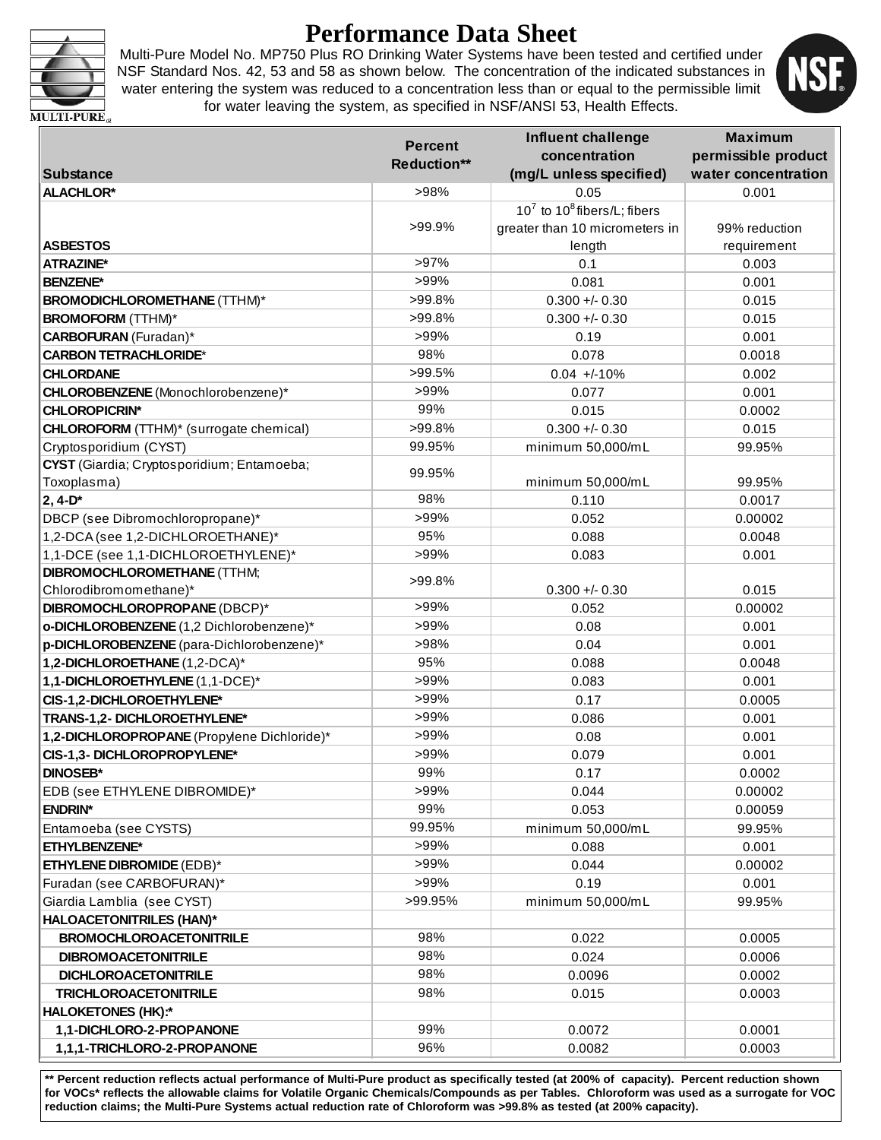

# **Performance Data Sheet**

Multi-Pure Model No. MP750 Plus RO Drinking Water Systems have been tested and certified under NSF Standard Nos. 42, 53 and 58 as shown below. The concentration of the indicated substances in water entering the system was reduced to a concentration less than or equal to the permissible limit for water leaving the system, as specified in NSF/ANSI 53, Health Effects.



**MULTI-PURE** 

|                                                | <b>Percent</b> | <b>Influent challenge</b>         | <b>Maximum</b>      |
|------------------------------------------------|----------------|-----------------------------------|---------------------|
|                                                | Reduction**    | concentration                     | permissible product |
| <b>Substance</b>                               |                | (mg/L unless specified)           | water concentration |
| <b>ALACHLOR*</b>                               | >98%           | 0.05                              | 0.001               |
|                                                |                | $10^7$ to $10^8$ fibers/L; fibers |                     |
|                                                | >99.9%         | greater than 10 micrometers in    | 99% reduction       |
| <b>ASBESTOS</b>                                |                | length                            | requirement         |
| <b>ATRAZINE*</b>                               | >97%           | 0.1                               | 0.003               |
| <b>BENZENE*</b>                                | >99%           | 0.081                             | 0.001               |
| <b>BROMODICHLOROMETHANE (TTHM)*</b>            | >99.8%         | $0.300 + - 0.30$                  | 0.015               |
| <b>BROMOFORM (TTHM)*</b>                       | >99.8%         | $0.300 +/- 0.30$                  | 0.015               |
| <b>CARBOFURAN</b> (Furadan)*                   | >99%           | 0.19                              | 0.001               |
| <b>CARBON TETRACHLORIDE*</b>                   | 98%            | 0.078                             | 0.0018              |
| <b>CHLORDANE</b>                               | >99.5%         | $0.04 +10\%$                      | 0.002               |
| CHLOROBENZENE (Monochlorobenzene)*             | >99%           | 0.077                             | 0.001               |
| <b>CHLOROPICRIN*</b>                           | 99%            | 0.015                             | 0.0002              |
| <b>CHLOROFORM</b> (TTHM)* (surrogate chemical) | >99.8%         | $0.300 + 0.30$                    | 0.015               |
| Cryptosporidium (CYST)                         | 99.95%         | minimum 50,000/mL                 | 99.95%              |
| CYST (Giardia; Cryptosporidium; Entamoeba;     | 99.95%         |                                   |                     |
| Toxoplasma)                                    |                | minimum 50,000/mL                 | 99.95%              |
| $2, 4-D*$                                      | 98%            | 0.110                             | 0.0017              |
| DBCP (see Dibromochloropropane)*               | >99%           | 0.052                             | 0.00002             |
| 1,2-DCA (see 1,2-DICHLOROETHANE)*              | 95%            | 0.088                             | 0.0048              |
| 1,1-DCE (see 1,1-DICHLOROETHYLENE)*            | >99%           | 0.083                             | 0.001               |
| <b>DIBROMOCHLOROMETHANE (TTHM;</b>             | >99.8%         |                                   |                     |
| Chlorodibromomethane)*                         |                | $0.300 + - 0.30$                  | 0.015               |
| DIBROMOCHLOROPROPANE (DBCP)*                   | >99%           | 0.052                             | 0.00002             |
| o-DICHLOROBENZENE (1,2 Dichlorobenzene)*       | >99%           | 0.08                              | 0.001               |
| p-DICHLOROBENZENE (para-Dichlorobenzene)*      | >98%           | 0.04                              | 0.001               |
| 1,2-DICHLOROETHANE (1,2-DCA)*                  | 95%            | 0.088                             | 0.0048              |
| 1,1-DICHLOROETHYLENE (1,1-DCE)*                | >99%           | 0.083                             | 0.001               |
| CIS-1,2-DICHLOROETHYLENE*                      | >99%           | 0.17                              | 0.0005              |
| TRANS-1,2- DICHLOROETHYLENE*                   | >99%           | 0.086                             | 0.001               |
| 1,2-DICHLOROPROPANE (Propylene Dichloride)*    | >99%           | 0.08                              | 0.001               |
| CIS-1,3- DICHLOROPROPYLENE*                    | >99%           | 0.079                             | 0.001               |
| <b>DINOSEB*</b>                                | 99%            | 0.17                              | 0.0002              |
| EDB (see ETHYLENE DIBROMIDE)*                  | >99%           | 0.044                             | 0.00002             |
| <b>ENDRIN*</b>                                 | 99%            | 0.053                             | 0.00059             |
| Entamoeba (see CYSTS)                          | 99.95%         | minimum 50,000/mL                 | 99.95%              |
| ETHYLBENZENE*                                  | >99%           | 0.088                             | 0.001               |
| <b>ETHYLENE DIBROMIDE (EDB)*</b>               | >99%           | 0.044                             | 0.00002             |
| Furadan (see CARBOFURAN)*                      | >99%           | 0.19                              | 0.001               |
| Giardia Lamblia (see CYST)                     | >99.95%        | minimum 50,000/mL                 | 99.95%              |
| <b>HALOACETONITRILES (HAN)*</b>                |                |                                   |                     |
| <b>BROMOCHLOROACETONITRILE</b>                 | 98%            | 0.022                             | 0.0005              |
| <b>DIBROMOACETONITRILE</b>                     | 98%            | 0.024                             | 0.0006              |
| <b>DICHLOROACETONITRILE</b>                    | 98%            | 0.0096                            | 0.0002              |
| <b>TRICHLOROACETONITRILE</b>                   | 98%            | 0.015                             | 0.0003              |
| <b>HALOKETONES (HK):*</b>                      |                |                                   |                     |
| 1,1-DICHLORO-2-PROPANONE                       | 99%            | 0.0072                            | 0.0001              |
| 1,1,1-TRICHLORO-2-PROPANONE                    | 96%            | 0.0082                            | 0.0003              |

**\*\* Percent reduction reflects actual performance of Multi-Pure product as specifically tested (at 200% of capacity). Percent reduction shown for VOCs\* reflects the allowable claims for Volatile Organic Chemicals/Compounds as per Tables. Chloroform was used as a surrogate for VOC reduction claims; the Multi-Pure Systems actual reduction rate of Chloroform was >99.8% as tested (at 200% capacity).**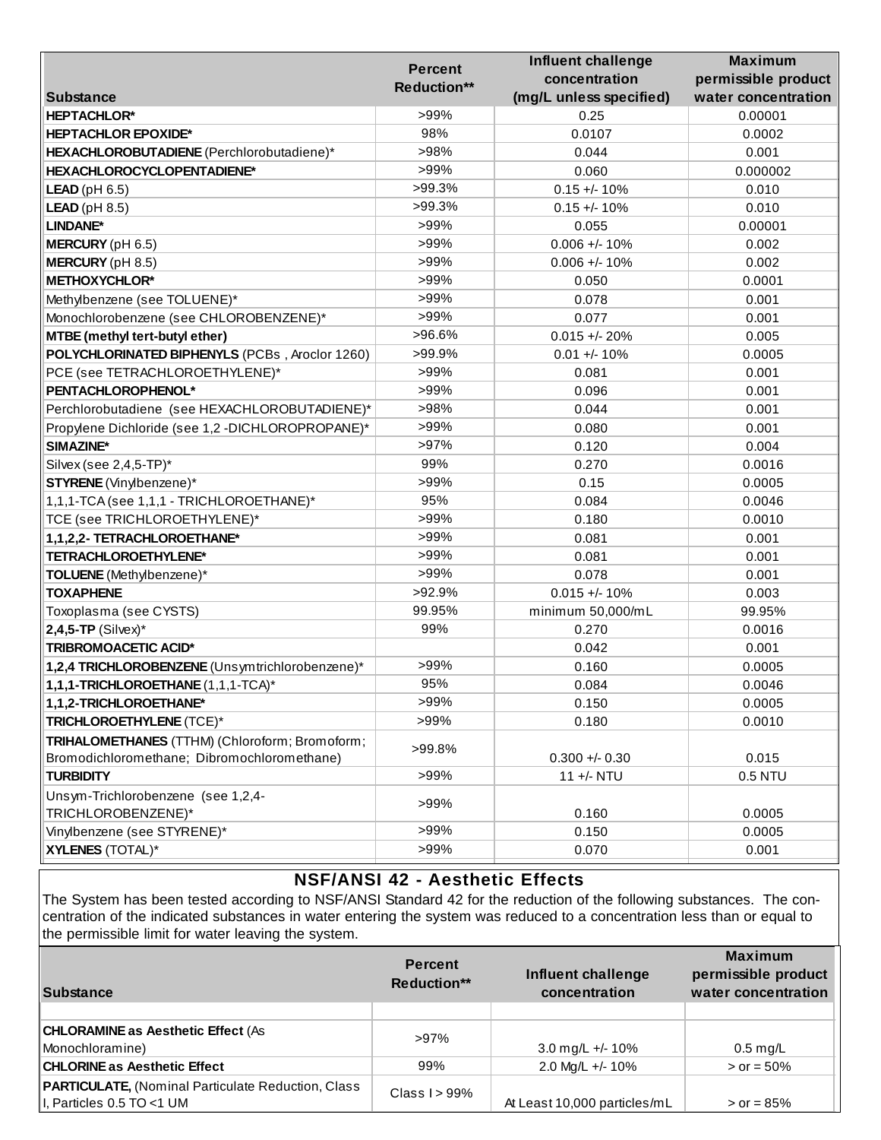|                                                          | <b>Percent</b>     | <b>Influent challenge</b> | <b>Maximum</b>      |
|----------------------------------------------------------|--------------------|---------------------------|---------------------|
|                                                          | <b>Reduction**</b> | concentration             | permissible product |
| <b>Substance</b>                                         |                    | (mg/L unless specified)   | water concentration |
| <b>HEPTACHLOR*</b>                                       | >99%               | 0.25                      | 0.00001             |
| <b>HEPTACHLOR EPOXIDE*</b>                               | 98%                | 0.0107                    | 0.0002              |
| HEXACHLOROBUTADIENE (Perchlorobutadiene)*                | >98%               | 0.044                     | 0.001               |
| HEXACHLOROCYCLOPENTADIENE*                               | >99%               | 0.060                     | 0.000002            |
| <b>LEAD</b> ( $pH 6.5$ )                                 | >99.3%             | $0.15 +/- 10%$            | 0.010               |
| <b>LEAD</b> ( $pH 8.5$ )                                 | $>99.3\%$          | $0.15 +/- 10%$            | 0.010               |
| LINDANE*                                                 | >99%               | 0.055                     | 0.00001             |
| MERCURY (pH 6.5)                                         | >99%               | $0.006 +/- 10%$           | 0.002               |
| <b>MERCURY</b> (pH 8.5)                                  | >99%               | $0.006 + 10%$             | 0.002               |
| <b>METHOXYCHLOR*</b>                                     | >99%               | 0.050                     | 0.0001              |
| Methylbenzene (see TOLUENE)*                             | >99%               | 0.078                     | 0.001               |
| Monochlorobenzene (see CHLOROBENZENE)*                   | >99%               | 0.077                     | 0.001               |
| MTBE (methyl tert-butyl ether)                           | >96.6%             | $0.015 + - 20%$           | 0.005               |
| POLYCHLORINATED BIPHENYLS (PCBs, Aroclor 1260)           | >99.9%             | $0.01 +/- 10%$            | 0.0005              |
| PCE (see TETRACHLOROETHYLENE)*                           | >99%               | 0.081                     | 0.001               |
| PENTACHLOROPHENOL*                                       | >99%               | 0.096                     | 0.001               |
| Perchlorobutadiene (see HEXACHLOROBUTADIENE)*            | >98%               | 0.044                     | 0.001               |
| Propylene Dichloride (see 1,2 -DICHLOROPROPANE)*         | >99%               | 0.080                     | 0.001               |
| SIMAZINE*                                                | >97%               | 0.120                     | 0.004               |
| Silvex (see 2,4,5-TP)*                                   | 99%                | 0.270                     | 0.0016              |
| <b>STYRENE</b> (Vinylbenzene)*                           | >99%               | 0.15                      | 0.0005              |
| 1,1,1-TCA (see 1,1,1 - TRICHLOROETHANE)*                 | 95%                | 0.084                     | 0.0046              |
| TCE (see TRICHLOROETHYLENE)*                             | >99%               | 0.180                     | 0.0010              |
| 1,1,2,2- TETRACHLOROETHANE*                              | >99%               | 0.081                     | 0.001               |
| TETRACHLOROETHYLENE*                                     | >99%               | 0.081                     | 0.001               |
| TOLUENE (Methylbenzene)*                                 | >99%               | 0.078                     | 0.001               |
| <b>TOXAPHENE</b>                                         | >92.9%             | $0.015 + - 10%$           | 0.003               |
| Toxoplasma (see CYSTS)                                   | 99.95%             | minimum 50,000/mL         | 99.95%              |
| $2,4,5$ -TP (Silvex)*                                    | 99%                | 0.270                     | 0.0016              |
| <b>TRIBROMOACETIC ACID*</b>                              |                    | 0.042                     | 0.001               |
| 1,2,4 TRICHLOROBENZENE (Unsymtrichlorobenzene)*          | >99%               | 0.160                     | 0.0005              |
| 1,1,1-TRICHLOROETHANE (1,1,1-TCA)*                       | 95%                | 0.084                     | 0.0046              |
| 1,1,2-TRICHLOROETHANE*                                   | >99%               | 0.150                     | 0.0005              |
| TRICHLOROETHYLENE (TCE)*                                 | >99%               | 0.180                     | 0.0010              |
| TRIHALOMETHANES (TTHM) (Chloroform; Bromoform;           |                    |                           |                     |
| Bromodichloromethane; Dibromochloromethane)              | >99.8%             | $0.300 +/- 0.30$          | 0.015               |
| <b>TURBIDITY</b>                                         | >99%               | 11 +/- NTU                | 0.5 NTU             |
| Unsym-Trichlorobenzene (see 1,2,4-<br>TRICHLOROBENZENE)* | >99%               | 0.160                     | 0.0005              |
| Vinylbenzene (see STYRENE)*                              | >99%               | 0.150                     | 0.0005              |
| <b>XYLENES (TOTAL)*</b>                                  | >99%               | 0.070                     | 0.001               |
|                                                          |                    |                           |                     |

## **NSF/ANSI 42 - Aesthetic Effects**

The System has been tested according to NSF/ANSI Standard 42 for the reduction of the following substances. The concentration of the indicated substances in water entering the system was reduced to a concentration less than or equal to the permissible limit for water leaving the system.

| Substance                                                                              | <b>Percent</b><br><b>Reduction**</b> | Influent challenge<br>concentration | <b>Maximum</b><br>permissible product<br>water concentration |
|----------------------------------------------------------------------------------------|--------------------------------------|-------------------------------------|--------------------------------------------------------------|
| <b>CHLORAMINE as Aesthetic Effect (As</b><br>Monochloramine)                           | $>97\%$                              | 3.0 mg/L +/- 10%                    | $0.5 \text{ mg/L}$                                           |
| <b>CHLORINE as Aesthetic Effect</b>                                                    | 99%                                  | 2.0 Mg/L +/- 10%                    | $>$ or = 50%                                                 |
| <b>PARTICULATE, (Nominal Particulate Reduction, Class</b><br>I, Particles 0.5 TO <1 UM | Class $I > 99\%$                     | At Least 10,000 particles/mL        | $>$ or = 85%                                                 |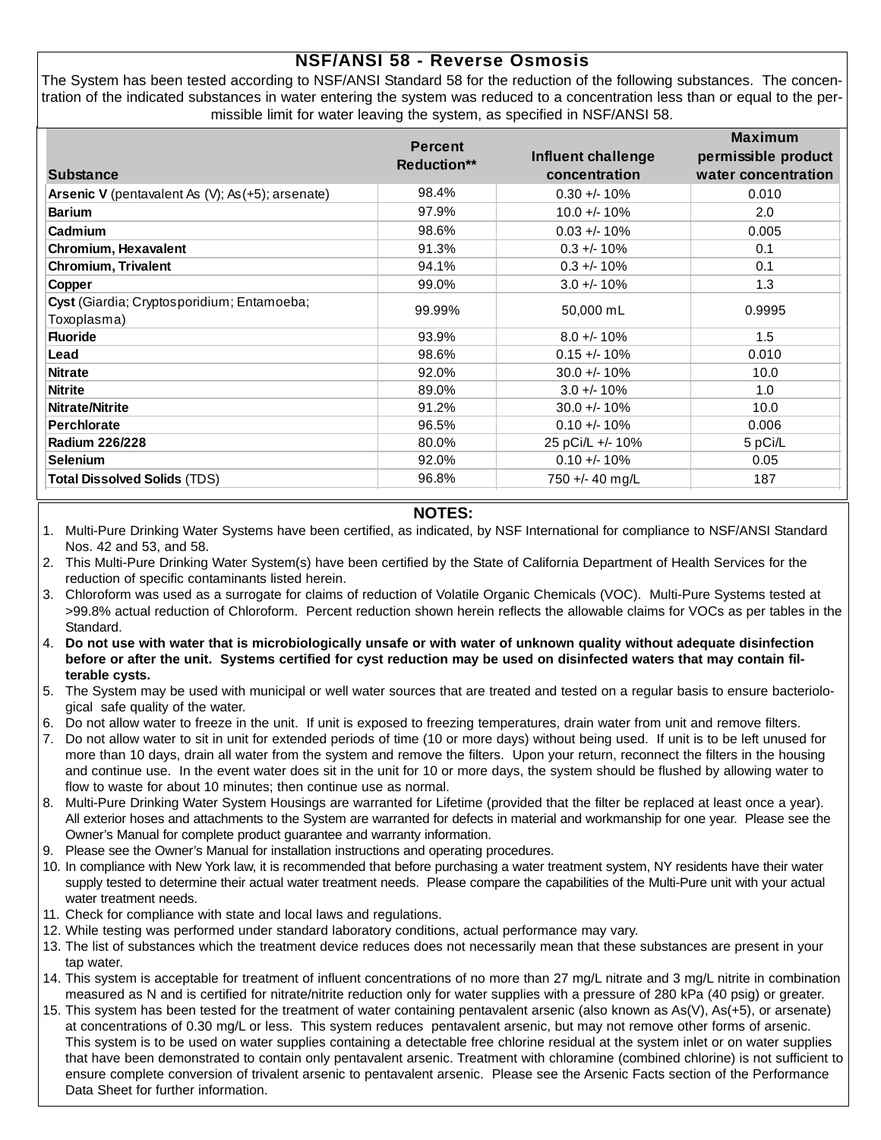### **NSF/ANSI 58 - Reverse Osmosis**

The System has been tested according to NSF/ANSI Standard 58 for the reduction of the following substances. The concentration of the indicated substances in water entering the system was reduced to a concentration less than or equal to the permissible limit for water leaving the system, as specified in NSF/ANSI 58.

|                                                   | <b>Percent</b>     | Influent challenge | <b>Maximum</b><br>permissible product |  |
|---------------------------------------------------|--------------------|--------------------|---------------------------------------|--|
| <b>Substance</b>                                  | <b>Reduction**</b> | concentration      | water concentration                   |  |
| Arsenic V (pentavalent As (V); As (+5); arsenate) | 98.4%              | $0.30 +/- 10%$     | 0.010                                 |  |
| <b>Barium</b>                                     | 97.9%              | $10.0 + 10\%$      | 2.0                                   |  |
| Cadmium                                           | 98.6%              | $0.03 + 10%$       | 0.005                                 |  |
| Chromium, Hexavalent                              | 91.3%              | $0.3 + 10\%$       | 0.1                                   |  |
| <b>Chromium, Trivalent</b>                        | 94.1%              | $0.3 + 10%$        | 0.1                                   |  |
| Copper                                            | 99.0%              | $3.0 +/- 10%$      | 1.3                                   |  |
| Cyst (Giardia; Cryptosporidium; Entamoeba;        | 99.99%             | 50,000 mL          | 0.9995                                |  |
| Toxoplasma)                                       |                    |                    |                                       |  |
| <b>Fluoride</b>                                   | 93.9%              | $8.0 + 10\%$       | 1.5                                   |  |
| Lead                                              | 98.6%              | $0.15 + - 10%$     | 0.010                                 |  |
| <b>Nitrate</b>                                    | 92.0%              | $30.0 +/- 10\%$    | 10.0                                  |  |
| <b>Nitrite</b>                                    | 89.0%              | $3.0 +/- 10%$      | 1.0                                   |  |
| <b>Nitrate/Nitrite</b>                            | 91.2%              | $30.0 +/- 10%$     | 10.0                                  |  |
| <b>Perchlorate</b>                                | 96.5%              | $0.10 + 10%$       | 0.006                                 |  |
| Radium 226/228                                    | 80.0%              | 25 pCi/L +/- 10%   | 5 pCi/L                               |  |
| <b>Selenium</b>                                   | 92.0%              | $0.10 +/- 10%$     | 0.05                                  |  |
| <b>Total Dissolved Solids (TDS)</b>               | 96.8%              | 750 +/- 40 mg/L    | 187                                   |  |

#### **NOTES:**

- 1. Multi-Pure Drinking Water Systems have been certified, as indicated, by NSF International for compliance to NSF/ANSI Standard Nos. 42 and 53, and 58.
- 2. This Multi-Pure Drinking Water System(s) have been certified by the State of California Department of Health Services for the reduction of specific contaminants listed herein.
- 3. Chloroform was used as a surrogate for claims of reduction of Volatile Organic Chemicals (VOC). Multi-Pure Systems tested at >99.8% actual reduction of Chloroform. Percent reduction shown herein reflects the allowable claims for VOCs as per tables in the Standard.
- 4. **Do not use with water that is microbiologically unsafe or with water of unknown quality without adequate disinfection before or after the unit. Systems certified for cyst reduction may be used on disinfected waters that may contain filterable cysts.**
- 5. The System may be used with municipal or well water sources that are treated and tested on a regular basis to ensure bacteriological safe quality of the water.
- 6. Do not allow water to freeze in the unit. If unit is exposed to freezing temperatures, drain water from unit and remove filters.
- 7. Do not allow water to sit in unit for extended periods of time (10 or more days) without being used. If unit is to be left unused for more than 10 days, drain all water from the system and remove the filters. Upon your return, reconnect the filters in the housing and continue use. In the event water does sit in the unit for 10 or more days, the system should be flushed by allowing water to flow to waste for about 10 minutes; then continue use as normal.
- 8. Multi-Pure Drinking Water System Housings are warranted for Lifetime (provided that the filter be replaced at least once a year). All exterior hoses and attachments to the System are warranted for defects in material and workmanship for one year. Please see the Owner's Manual for complete product guarantee and warranty information.
- 9. Please see the Owner's Manual for installation instructions and operating procedures.
- 10. In compliance with New York law, it is recommended that before purchasing a water treatment system, NY residents have their water supply tested to determine their actual water treatment needs. Please compare the capabilities of the Multi-Pure unit with your actual water treatment needs.
- 11. Check for compliance with state and local laws and regulations.
- 12. While testing was performed under standard laboratory conditions, actual performance may vary.
- 13. The list of substances which the treatment device reduces does not necessarily mean that these substances are present in your tap water.
- 14. This system is acceptable for treatment of influent concentrations of no more than 27 mg/L nitrate and 3 mg/L nitrite in combination measured as N and is certified for nitrate/nitrite reduction only for water supplies with a pressure of 280 kPa (40 psig) or greater.
- 15. This system has been tested for the treatment of water containing pentavalent arsenic (also known as As(V), As(+5), or arsenate) at concentrations of 0.30 mg/L or less. This system reduces pentavalent arsenic, but may not remove other forms of arsenic. This system is to be used on water supplies containing a detectable free chlorine residual at the system inlet or on water supplies that have been demonstrated to contain only pentavalent arsenic. Treatment with chloramine (combined chlorine) is not sufficient to ensure complete conversion of trivalent arsenic to pentavalent arsenic. Please see the Arsenic Facts section of the Performance Data Sheet for further information.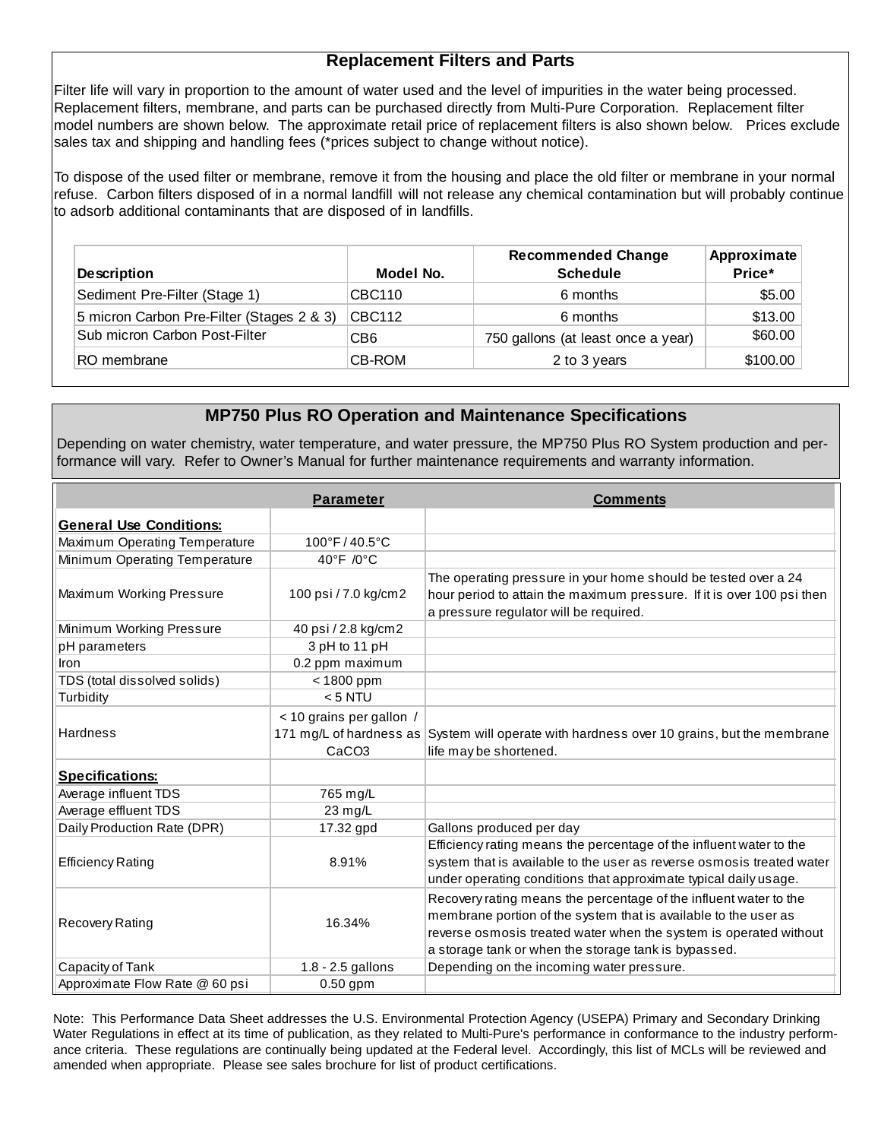#### **Replacement Filters and Parts**

Filter life will vary in proportion to the amount of water used and the level of impurities in the water being processed. Replacement filters, membrane, and parts can be purchased directly from Multi-Pure Corporation. Replacement filter model numbers are shown below. The approximate retail price of replacement filters is also shown below. Prices exclude sales tax and shipping and handling fees (\*prices subject to change without notice).

To dispose of the used filter or membrane, remove it from the housing and place the old filter or membrane in your normal refuse. Carbon filters disposed of in a normal landfill will not release any chemical contamination but will probably continue to adsorb additional contaminants that are disposed of in landfills.

| <b>Description</b>                        | Model No.       | <b>Recommended Change</b><br><b>Schedule</b> | Approximate<br>Price* |
|-------------------------------------------|-----------------|----------------------------------------------|-----------------------|
| Sediment Pre-Filter (Stage 1)             | CBC110          | 6 months                                     | \$5.00                |
| 5 micron Carbon Pre-Filter (Stages 2 & 3) | CBC112          | 6 months                                     | \$13.00               |
| Sub micron Carbon Post-Filter             | CB <sub>6</sub> | 750 gallons (at least once a year)           | \$60.00               |
| RO membrane                               | CB-ROM          | 2 to 3 years                                 | \$100.00              |

#### **MP750 Plus RO Operation and Maintenance Specifications**

Depending on water chemistry, water temperature, and water pressure, the MP750 Plus RO System production and performance will vary. Refer to Owner's Manual for further maintenance requirements and warranty information.

|                                | <b>Parameter</b>                              | <b>Comments</b>                                                                                                                                                                                                                                                   |
|--------------------------------|-----------------------------------------------|-------------------------------------------------------------------------------------------------------------------------------------------------------------------------------------------------------------------------------------------------------------------|
| <b>General Use Conditions:</b> |                                               |                                                                                                                                                                                                                                                                   |
| Maximum Operating Temperature  | 100°F/40.5°C                                  |                                                                                                                                                                                                                                                                   |
| Minimum Operating Temperature  | 40°F /0°C                                     |                                                                                                                                                                                                                                                                   |
| Maximum Working Pressure       | 100 psi / 7.0 kg/cm2                          | The operating pressure in your home should be tested over a 24<br>hour period to attain the maximum pressure. If it is over 100 psi then<br>a pressure regulator will be required.                                                                                |
| Minimum Working Pressure       | 40 psi / 2.8 kg/cm2                           |                                                                                                                                                                                                                                                                   |
| pH parameters                  | 3 pH to 11 pH                                 |                                                                                                                                                                                                                                                                   |
| Iron                           | 0.2 ppm maximum                               |                                                                                                                                                                                                                                                                   |
| TDS (total dissolved solids)   | $<$ 1800 ppm                                  |                                                                                                                                                                                                                                                                   |
| Turbidity                      | $< 5$ NTU                                     |                                                                                                                                                                                                                                                                   |
| <b>Hardness</b>                | < 10 grains per gallon /<br>CaCO <sub>3</sub> | 171 mg/L of hardness as System will operate with hardness over 10 grains, but the membrane<br>life may be shortened.                                                                                                                                              |
| <b>Specifications:</b>         |                                               |                                                                                                                                                                                                                                                                   |
| Average influent TDS           | 765 mg/L                                      |                                                                                                                                                                                                                                                                   |
| Average effluent TDS           | 23 mg/L                                       |                                                                                                                                                                                                                                                                   |
| Daily Production Rate (DPR)    | 17.32 gpd                                     | Gallons produced per day                                                                                                                                                                                                                                          |
| <b>Efficiency Rating</b>       | 8.91%                                         | Efficiency rating means the percentage of the influent water to the<br>system that is available to the user as reverse osmosis treated water<br>under operating conditions that approximate typical daily usage.                                                  |
| Recovery Rating                | 16.34%                                        | Recovery rating means the percentage of the influent water to the<br>membrane portion of the system that is available to the user as<br>reverse osmosis treated water when the system is operated without<br>a storage tank or when the storage tank is bypassed. |
| Capacity of Tank               | 1.8 - 2.5 gallons                             | Depending on the incoming water pressure.                                                                                                                                                                                                                         |
| Approximate Flow Rate @ 60 psi | $0.50$ gpm                                    |                                                                                                                                                                                                                                                                   |

Note: This Performance Data Sheet addresses the U.S. Environmental Protection Agency (USEPA) Primary and Secondary Drinking Water Regulations in effect at its time of publication, as they related to Multi-Pure's performance in conformance to the industry performance criteria. These regulations are continually being updated at the Federal level. Accordingly, this list of MCLs will be reviewed and amended when appropriate. Please see sales brochure for list of product certifications.